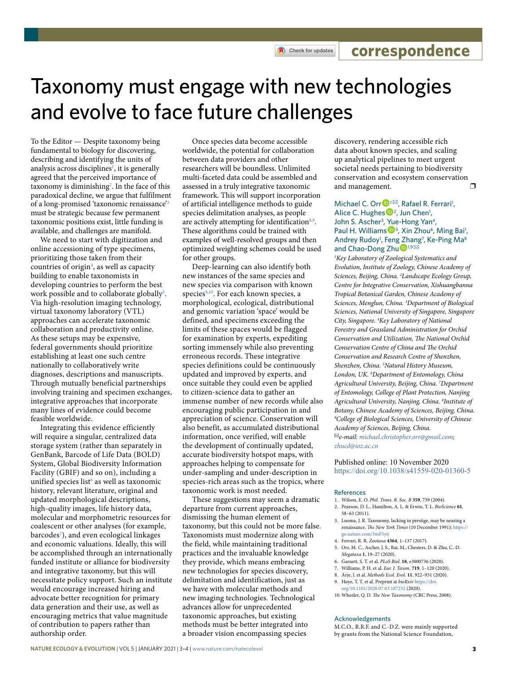Check for updates

**correspondence**

# Taxonomy must engage with new technologies and evolve to face future challenges

To the Editor — Despite taxonomy being fundamental to biology for discovering, describing and identifying the units of analysis across disciplines<sup>1</sup>, it is generally agreed that the perceived importance of taxonomy is diminishing<sup>[2](#page-0-1)</sup>. In the face of this paradoxical decline, we argue that fulfilment of a long-promised 'taxonomic renaissance['3](#page-0-2) must be strategic because few permanent taxonomic positions exist, little funding is available, and challenges are manifold.

We need to start with digitization and online accessioning of type specimens, prioritizing those taken from their countries of origin<sup>[4](#page-0-3)</sup>, as well as capacity building to enable taxonomists in developing countries to perform the best work possible and to collaborate globally<sup>[5](#page-0-4)</sup>. Via high-resolution imaging technology, virtual taxonomy laboratory (VTL) approaches can accelerate taxonomic collaboration and productivity online. As these setups may be expensive, federal governments should prioritize establishing at least one such centre nationally to collaboratively write diagnoses, descriptions and manuscripts. Through mutually beneficial partnerships involving training and specimen exchanges, integrative approaches that incorporate many lines of evidence could become feasible worldwide.

Integrating this evidence efficiently will require a singular, centralized data storage system (rather than separately in GenBank, Barcode of Life Data (BOLD) System, Global Biodiversity Information Facility (GBIF) and so on), including a unified species list<sup>6</sup> as well as taxonomic history, relevant literature, original and updated morphological descriptions, high-quality images, life history data, molecular and morphometric resources for coalescent or other analyses (for example, barcodes<sup>[7](#page-0-6)</sup>), and even ecological linkages and economic valuations. Ideally, this will be accomplished through an internationally funded institute or alliance for biodiversity and integrative taxonomy, but this will necessitate policy support. Such an institute would encourage increased hiring and advocate better recognition for primary data generation and their use, as well as encouraging metrics that value magnitude of contribution to papers rather than authorship order.

Once species data become accessible worldwide, the potential for collaboration between data providers and other researchers will be boundless. Unlimited multi-faceted data could be assembled and assessed in a truly integrative taxonomic framework. This will support incorporation of artificial intelligence methods to guide species delimitation analyses, as people are actively attempting for identification<sup>8,[9](#page-0-8)</sup>. These algorithms could be trained with examples of well-resolved groups and then optimized weighting schemes could be used for other groups.

Deep-learning can also identify both new instances of the same species and new species via comparison with known species<sup>9,[10](#page-0-9)</sup>. For each known species, a morphological, ecological, distributional and genomic variation 'space' would be defined, and specimens exceeding the limits of these spaces would be flagged for examination by experts, expediting sorting immensely while also preventing erroneous records. These integrative species definitions could be continuously updated and improved by experts, and once suitable they could even be applied to citizen-science data to gather an immense number of new records while also encouraging public participation in and appreciation of science. Conservation will also benefit, as accumulated distributional information, once verified, will enable the development of continually updated, accurate biodiversity hotspot maps, with approaches helping to compensate for under-sampling and under-description in species-rich areas such as the tropics, where taxonomic work is most needed.

These suggestions may seem a dramatic departure from current approaches, dismissing the human element of taxonomy, but this could not be more false. Taxonomists must modernize along with the field, while maintaining traditional practices and the invaluable knowledge they provide, which means embracing new technologies for species discovery, delimitation and identification, just as we have with molecular methods and new imaging technologies. Technological advances allow for unprecedented taxonomic approaches, but existing methods must be better integrated into a broader vision encompassing species

discovery, rendering accessible rich data about known species, and scaling up analytical pipelines to meet urgent societal needs pertaining to biodiversity conservation and ecosystem conservation and management.  $\square$ 

# Michael C. Orr<sup>D<sub>1</sub>⊠</sup>, Rafael R. Ferrari<sup>1</sup>, Alice C. Hughes  $D^2$ , Jun Chen<sup>1</sup>, John S. Ascher<sup>3</sup>, [Yu](http://orcid.org/0000-0002-6996-5682)e-Hong Yan<sup>4</sup>, Paul H. Williams<sup>1</sup><sup>5</sup>, Xin Zhou<sup>6</sup>, Ming Bai<sup>1</sup>, Andrey Rudoy<sup>1</sup>, Feng [Zh](http://orcid.org/0000-0002-9347-3178)ang<sup>7</sup>, Ke-Ping Ma<sup>8</sup> and Chao-Dong Zhu<sup>D1,9</sub></sup>

*1 Key Laboratory of Zoological Systematics and Evolution, Institute of Zoology, Chinese Academy of Sciences, Beijing, China. 2 Landscape Ecology Group, Centre for Integrative Conservation, Xishuangbanna Tropical Botanical Garden, Chinese Academy of Sciences, Menglun, China. 3 Department of Biological Sciences, National University of Singapore, Singapore City, Singapore. 4 Key Laboratory of National Forestry and Grassland Administration for Orchid*  Conservation and Utilization, The National Orchid **Conservation Centre of China and The Orchid** *Conservation and Research Centre of Shenzhen, Shenzhen, China. 5 Natural History Museum, London, UK. 6 Department of Entomology, China Agricultural University, Beijing, China. 7 Department of Entomology, College of Plant Protection, Nanjing Agricultural University, Nanjing, China. 8 Institute of Botany, Chinese Academy of Sciences, Beijing, China. 9 College of Biological Sciences, University of Chinese Academy of Sciences, Beijing, China.*  ✉*e-mail: [michael.christopher.orr@gmail.com](mailto:michael.christopher.orr@gmail.com); [zhucd@ioz.ac.cn](mailto:zhucd@ioz.ac.cn)*

Published online: 10 November 2020 <https://doi.org/10.1038/s41559-020-01360-5>

### References

- <span id="page-0-0"></span>1. Wilson, E. O. *Phil. Trans. R. Soc. B* **359**, 739 (2004).
- <span id="page-0-1"></span>2. Pearson, D. L., Hamilton, A. L. & Erwin, T. L. *BioScience* **61**, 58–63 (2011).
- <span id="page-0-2"></span>3. Luoma, J. R. Taxonomy, lacking in prestige, may be nearing a renaissance. *The New York Times* (10 December 1991); [https://](https://go.nature.com/3mF5yij) [go.nature.com/3mF5yij](https://go.nature.com/3mF5yij)
- <span id="page-0-3"></span>4. Ferrari, R. R. *Zootaxa* **4364**, 1–137 (2017).
- <span id="page-0-4"></span>5. Orr, M. C., Ascher, J. S., Bai, M., Chesters, D. & Zhu, C.-D. *Megataxa* **1**, 19–27 (2020).
- <span id="page-0-5"></span>6. Garnett, S. T. et al. *PLoS Biol.* **18**, e3000736 (2020).
- <span id="page-0-6"></span>7. Williams, P. H. et al. *Eur. J. Taxon.* **719**, 1–120 (2020).
- <span id="page-0-7"></span>8. Ärje, J. et al. *Methods Ecol. Evol.* **11**, 922–931 (2020).
- <span id="page-0-8"></span>9. Høye, T. T. et al. Preprint at *bioRxiv* [https://doi.](https://doi.org/10.1101/2020.07.03.187252) [org/10.1101/2020.07.03.187252](https://doi.org/10.1101/2020.07.03.187252) (2020).
- <span id="page-0-9"></span>10. Wheeler, Q. D. The New Taxonomy (CRC Press, 2008).

#### Acknowledgements

M.C.O., R.R.F. and C.-D.Z. were mainly supported by grants from the National Science Foundation,